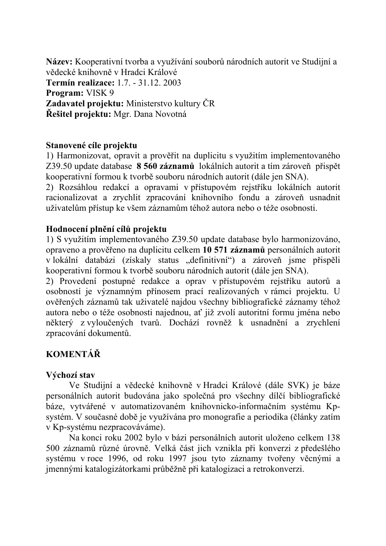Název: Kooperativní tvorba a využívání souborů národních autorit ve Studijní a vědecké knihovně v Hradci Králové **Termín realizace:** 1.7. - 31.12. 2003 **Program:** VISK 9 Zadavatel projektu: Ministerstvo kultury ČR Řešitel projektu: Mgr. Dana Novotná

#### Stanovené cíle projektu

1) Harmonizovat, opravit a prověřit na duplicitu s využitím implementovaného Z39.50 update database 8 560 záznamů lokálních autorit a tím zároveň přispět kooperativní formou k tvorbě souboru národních autorit (dále jen SNA).

2) Rozsáhlou redakcí a opravami v přístupovém rejstříku lokálních autorit racionalizovat a zrychlit zpracování knihovního fondu a zároveň usnadnit uživatelům přístup ke všem záznamům téhož autora nebo o téže osobnosti.

#### Hodnocení plnění cílů projektu

1) S využitím implementovaného Z39.50 update database bylo harmonizováno, opraveno a prověřeno na duplicitu celkem 10 571 záznamů personálních autorit v lokální databázi (získaly status "definitivní") a zároveň jsme přispěli kooperativní formou k tvorbě souboru národních autorit (dále jen SNA).

2) Provedení postupné redakce a oprav v přístupovém rejstříku autorů a osobností je významným přínosem prací realizovaných v rámci projektu. U ověřených záznamů tak uživatelé najdou všechny bibliografické záznamy téhož autora nebo o téže osobnosti najednou, ať již zvolí autoritní formu jména nebo některý z vyloučených tvarů. Dochází rovněž k usnadnění a zrychlení zpracování dokumentů.

# **KOMENTÁŘ**

## Výchozí stav

Ve Studijní a vědecké knihovně v Hradci Králové (dále SVK) je báze personálních autorit budována jako společná pro všechny dílčí bibliografické báze, vytvářené v automatizovaném knihovnicko-informačním systému Kpsystém. V současné době je využívána pro monografie a periodika (články zatím v Kp-systému nezpracováváme).

Na konci roku 2002 bylo v bázi personálních autorit uloženo celkem 138 500 záznamů různé úrovně. Velká část jich vznikla při konverzi z předešlého systému v roce 1996, od roku 1997 jsou tyto záznamy tvořeny věcnými a jmennými katalogizátorkami průběžně při katalogizaci a retrokonverzi.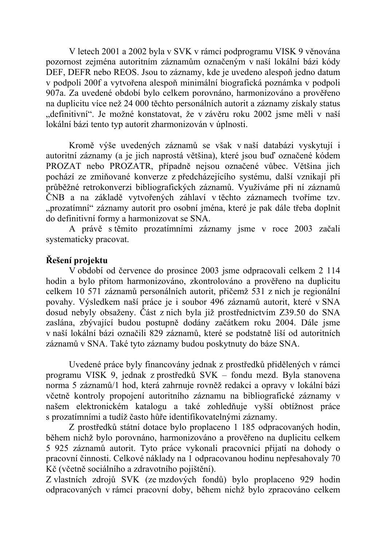V letech 2001 a 2002 byla v SVK v rámci podprogramu VISK 9 věnována pozornost zejména autoritním záznamům označeným v naší lokální bázi kódy DEF, DEFR nebo REOS. Jsou to záznamy, kde je uvedeno alespoň jedno datum v podpoli 200f a vytvořena alespoň minimální biografická poznámka v podpoli 907a. Za uvedené období bylo celkem porovnáno, harmonizováno a prověřeno na duplicitu více než 24 000 těchto personálních autorit a záznamy získaly status "definitivní". Je možné konstatovat, že v závěru roku 2002 jsme měli v naší lokální bázi tento typ autorit zharmonizován v úplnosti.

Kromě výše uvedených záznamů se však v naší databázi vyskytují i autoritní záznamy (a je jich naprostá většina), které jsou buď označené kódem PROZAT nebo PROZATR, případně nejsou označené vůbec. Většina jich pochází ze zmiňované konverze z předcházejícího systému, další vznikají při průběžné retrokonverzi bibliografických záznamů. Využíváme při ní záznamů ČNB a na základě vytvořených záhlaví v těchto záznamech tvoříme tzv. "prozatímní" záznamy autorit pro osobní jména, které je pak dále třeba doplnit do definitivní formy a harmonizovat se SNA.

A právě s těmito prozatímními záznamy jsme v roce 2003 začali systematicky pracovat.

## Řešení projektu

V období od července do prosince 2003 jsme odpracovali celkem 2 114 hodin a bylo přitom harmonizováno, zkontrolováno a prověřeno na duplicitu celkem 10 571 záznamů personálních autorit, přičemž 531 z nich je regionální povahy. Výsledkem naší práce je i soubor 496 záznamů autorit, které v SNA dosud nebyly obsaženy. Část z nich byla již prostřednictvím Z39.50 do SNA zaslána, zbývající budou postupně dodány začátkem roku 2004. Dále jsme v naší lokální bázi označili 829 záznamů, které se podstatně liší od autoritních záznamů v SNA. Také tyto záznamy budou poskytnuty do báze SNA.

Uvedené práce byly financovány jednak z prostředků přidělených v rámci programu VISK 9, jednak z prostředků SVK – fondu mezd. Byla stanovena norma 5 záznamů/1 hod, která zahrnuje rovněž redakci a opravy v lokální bázi včetně kontroly propojení autoritního záznamu na bibliografické záznamy v našem elektronickém katalogu a také zohledňuje vyšší obtížnost práce s prozatímními a tudíž často hůře identifikovatelnými záznamy.

Z prostředků státní dotace bylo proplaceno 1 185 odpracovaných hodin, během nichž bylo porovnáno, harmonizováno a prověřeno na duplicitu celkem 5 925 záznamů autorit. Tyto práce vykonali pracovníci přijatí na dohody o pracovní činnosti. Celkové náklady na 1 odpracovanou hodinu nepřesahovaly 70 Kč (včetně sociálního a zdravotního pojištění).

Z vlastních zdrojů SVK (ze mzdových fondů) bylo proplaceno 929 hodin odpracovaných v rámci pracovní doby, během nichž bylo zpracováno celkem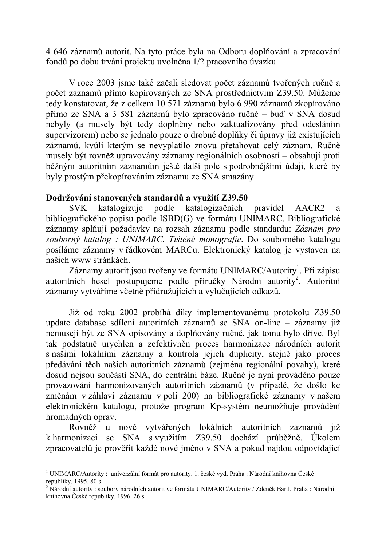4 646 záznamů autorit. Na tyto práce byla na Odboru doplňování a zpracování fondů po dobu trvání projektu uvolněna 1/2 pracovního úvazku.

V roce 2003 jsme také začali sledovat počet záznamů tvořených ručně a počet záznamů přímo kopírovaných ze SNA prostřednictvím Z39.50. Můžeme tedy konstatovat, že z celkem 10 571 záznamů bylo 6 990 záznamů zkopírováno přímo ze SNA a 3 581 záznamů bylo zpracováno ručně – buď v SNA dosud nebyly (a musely být tedy doplněny nebo zaktualizovány před odesláním supervizorem) nebo se jednalo pouze o drobné doplňky či úpravy již existujících záznamů, kvůli kterým se nevyplatilo znovu přetahovat celý záznam. Ručně musely být rovněž upravovány záznamy regionálních osobností – obsahují proti běžným autoritním záznamům ještě další pole s podrobnějšími údaji, které by byly prostým překopírováním záznamu ze SNA smazány.

#### Dodržování stanovených standardů a využití Z39.50

podle katalogizuje katalogizačních pravidel **SVK** AACR<sub>2</sub> a bibliografického popisu podle ISBD(G) ve formátu UNIMARC. Bibliografické záznamy splňují požadavky na rozsah záznamu podle standardu: Záznam pro souborný katalog : UNIMARC. Tištěné monografie. Do souborného katalogu posíláme záznamy v řádkovém MARCu. Elektronický katalog je vystaven na našich www stránkách

Záznamy autorit jsou tvořeny ve formátu UNIMARC/Autority<sup>1</sup>. Při zápisu autoritních hesel postupujeme podle příručky Národní autority<sup>2</sup>. Autoritní záznamy vytváříme včetně přidružujících a vylučujících odkazů.

Již od roku 2002 probíhá díky implementovanému protokolu Z39.50 update database sdílení autoritních záznamů se SNA on-line – záznamy již nemusejí být ze SNA opisovány a doplňovány ručně, jak tomu bylo dříve. Byl tak podstatně urychlen a zefektivněn proces harmonizace národních autorit s našimi lokálními záznamy a kontrola jejich duplicity, stejně jako proces předávání těch našich autoritních záznamů (zejména regionální povahy), které dosud nejsou součástí SNA, do centrální báze. Ručně je nyní prováděno pouze provazování harmonizovaných autoritních záznamů (v případě, že došlo ke změnám v záhlaví záznamu v poli 200) na bibliografické záznamy v našem elektronickém katalogu, protože program Kp-systém neumožňuje provádění hromadných oprav.

Rovněž u nově vytvářených lokálních autoritních záznamů již k harmonizaci se SNA s využitím Z39.50 dochází průběžně. Úkolem zpracovatelů je prověřit každé nové jméno v SNA a pokud najdou odpovídající

<sup>&</sup>lt;sup>1</sup> UNIMARC/Autority: univerzální formát pro autority. 1. české vyd. Praha : Národní knihovna České republiky, 1995. 80 s.

<sup>&</sup>lt;sup>2</sup> Národní autority : soubory národních autorit ve formátu UNIMARC/Autority / Zdeněk Bartl. Praha : Národní knihovna České republiky. 1996. 26 s.